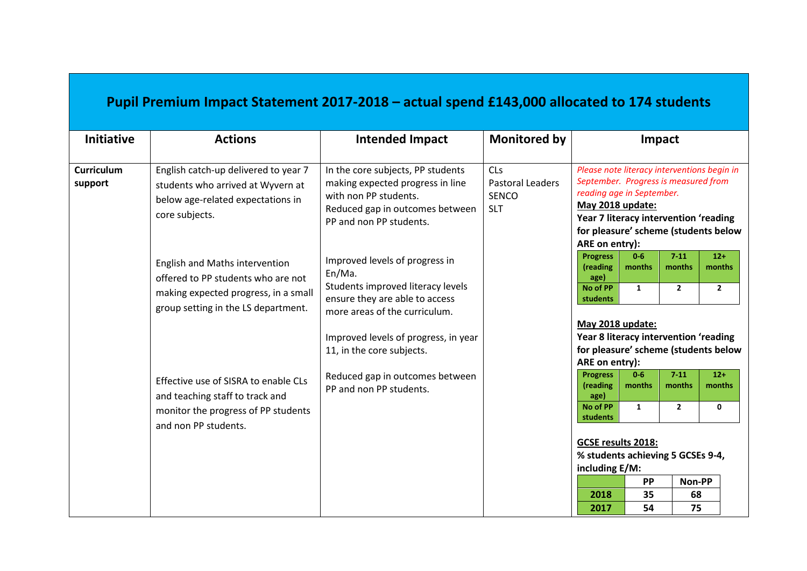## **Pupil Premium Impact Statement 2017-2018 – actual spend £143,000 allocated to 174 students**

| <b>Initiative</b>            | <b>Actions</b>                                                                                                                                      | <b>Intended Impact</b>                                                                                                                                                                                                | <b>Monitored by</b>                                                 | Impact                                                                                                                                                                                                                                                                                                                |
|------------------------------|-----------------------------------------------------------------------------------------------------------------------------------------------------|-----------------------------------------------------------------------------------------------------------------------------------------------------------------------------------------------------------------------|---------------------------------------------------------------------|-----------------------------------------------------------------------------------------------------------------------------------------------------------------------------------------------------------------------------------------------------------------------------------------------------------------------|
| <b>Curriculum</b><br>support | English catch-up delivered to year 7<br>students who arrived at Wyvern at<br>below age-related expectations in<br>core subjects.                    | In the core subjects, PP students<br>making expected progress in line<br>with non PP students.<br>Reduced gap in outcomes between<br>PP and non PP students.                                                          | <b>CLs</b><br><b>Pastoral Leaders</b><br><b>SENCO</b><br><b>SLT</b> | Please note literacy interventions begin in<br>September. Progress is measured from<br>reading age in September.<br>May 2018 update:<br>Year 7 literacy intervention 'reading<br>for pleasure' scheme (students below<br>ARE on entry):                                                                               |
|                              | English and Maths intervention<br>offered to PP students who are not<br>making expected progress, in a small<br>group setting in the LS department. | Improved levels of progress in<br>En/Ma.<br>Students improved literacy levels<br>ensure they are able to access<br>more areas of the curriculum.<br>Improved levels of progress, in year<br>11, in the core subjects. |                                                                     | $7 - 11$<br>$0 - 6$<br>$12+$<br><b>Progress</b><br>months<br>(reading<br>months<br>months<br>age)<br>No of PP<br>$\overline{2}$<br>$\mathbf{1}$<br>$\overline{2}$<br>students<br>May 2018 update:<br>Year 8 literacy intervention 'reading<br>for pleasure' scheme (students below                                    |
|                              | Effective use of SISRA to enable CLs<br>and teaching staff to track and<br>monitor the progress of PP students<br>and non PP students.              | Reduced gap in outcomes between<br>PP and non PP students.                                                                                                                                                            |                                                                     | ARE on entry):<br>$7 - 11$<br><b>Progress</b><br>$0 - 6$<br>$12+$<br>(reading<br>months<br>months<br>months<br>age)<br>No of PP<br>$\mathbf{1}$<br>$\mathbf{2}$<br>0<br>students<br>GCSE results 2018:<br>% students achieving 5 GCSEs 9-4,<br>including E/M:<br>Non-PP<br>PP<br>2018<br>35<br>68<br>75<br>2017<br>54 |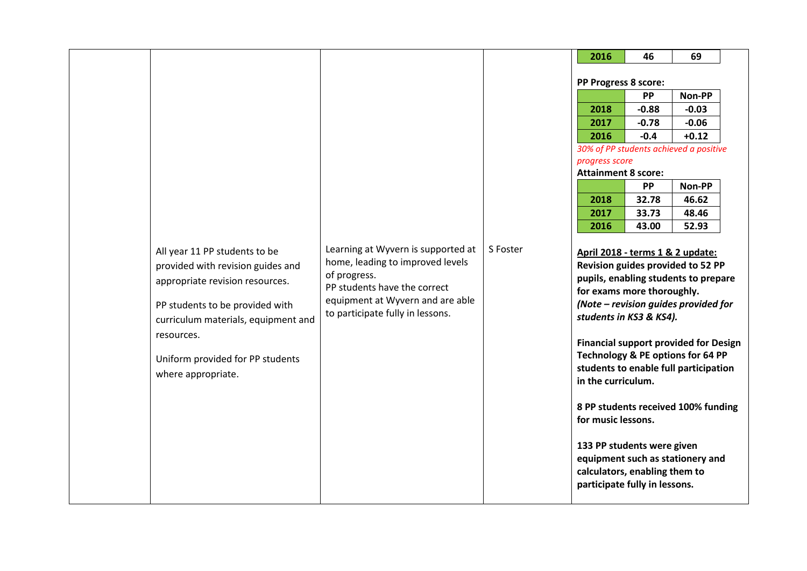|                                                                                                                                                                                                                                                         |                                                                                                                                                                                                |          | 2016                                                                                                                                                                                                                                  | 46      | 69                                                                                                                                                                                                                                                                                                                         |
|---------------------------------------------------------------------------------------------------------------------------------------------------------------------------------------------------------------------------------------------------------|------------------------------------------------------------------------------------------------------------------------------------------------------------------------------------------------|----------|---------------------------------------------------------------------------------------------------------------------------------------------------------------------------------------------------------------------------------------|---------|----------------------------------------------------------------------------------------------------------------------------------------------------------------------------------------------------------------------------------------------------------------------------------------------------------------------------|
|                                                                                                                                                                                                                                                         |                                                                                                                                                                                                |          | PP Progress 8 score:                                                                                                                                                                                                                  |         |                                                                                                                                                                                                                                                                                                                            |
|                                                                                                                                                                                                                                                         |                                                                                                                                                                                                |          |                                                                                                                                                                                                                                       | PP      | Non-PP                                                                                                                                                                                                                                                                                                                     |
|                                                                                                                                                                                                                                                         |                                                                                                                                                                                                |          | 2018                                                                                                                                                                                                                                  | $-0.88$ | $-0.03$                                                                                                                                                                                                                                                                                                                    |
|                                                                                                                                                                                                                                                         |                                                                                                                                                                                                |          | 2017                                                                                                                                                                                                                                  | $-0.78$ | $-0.06$                                                                                                                                                                                                                                                                                                                    |
|                                                                                                                                                                                                                                                         |                                                                                                                                                                                                |          | 2016                                                                                                                                                                                                                                  | $-0.4$  | $+0.12$                                                                                                                                                                                                                                                                                                                    |
|                                                                                                                                                                                                                                                         |                                                                                                                                                                                                |          | progress score                                                                                                                                                                                                                        |         | 30% of PP students achieved a positive                                                                                                                                                                                                                                                                                     |
|                                                                                                                                                                                                                                                         |                                                                                                                                                                                                |          | <b>Attainment 8 score:</b>                                                                                                                                                                                                            |         |                                                                                                                                                                                                                                                                                                                            |
|                                                                                                                                                                                                                                                         |                                                                                                                                                                                                |          |                                                                                                                                                                                                                                       | PP      | Non-PP                                                                                                                                                                                                                                                                                                                     |
|                                                                                                                                                                                                                                                         |                                                                                                                                                                                                |          | 2018                                                                                                                                                                                                                                  | 32.78   | 46.62                                                                                                                                                                                                                                                                                                                      |
|                                                                                                                                                                                                                                                         |                                                                                                                                                                                                |          | 2017                                                                                                                                                                                                                                  | 33.73   | 48.46                                                                                                                                                                                                                                                                                                                      |
|                                                                                                                                                                                                                                                         |                                                                                                                                                                                                |          | 2016                                                                                                                                                                                                                                  | 43.00   | 52.93                                                                                                                                                                                                                                                                                                                      |
| All year 11 PP students to be<br>provided with revision guides and<br>appropriate revision resources.<br>PP students to be provided with<br>curriculum materials, equipment and<br>resources.<br>Uniform provided for PP students<br>where appropriate. | Learning at Wyvern is supported at<br>home, leading to improved levels<br>of progress.<br>PP students have the correct<br>equipment at Wyvern and are able<br>to participate fully in lessons. | S Foster | April 2018 - terms 1 & 2 update:<br>for exams more thoroughly.<br>students in KS3 & KS4).<br>in the curriculum.<br>for music lessons.<br>133 PP students were given<br>calculators, enabling them to<br>participate fully in lessons. |         | Revision guides provided to 52 PP<br>pupils, enabling students to prepare<br>(Note - revision guides provided for<br><b>Financial support provided for Design</b><br>Technology & PE options for 64 PP<br>students to enable full participation<br>8 PP students received 100% funding<br>equipment such as stationery and |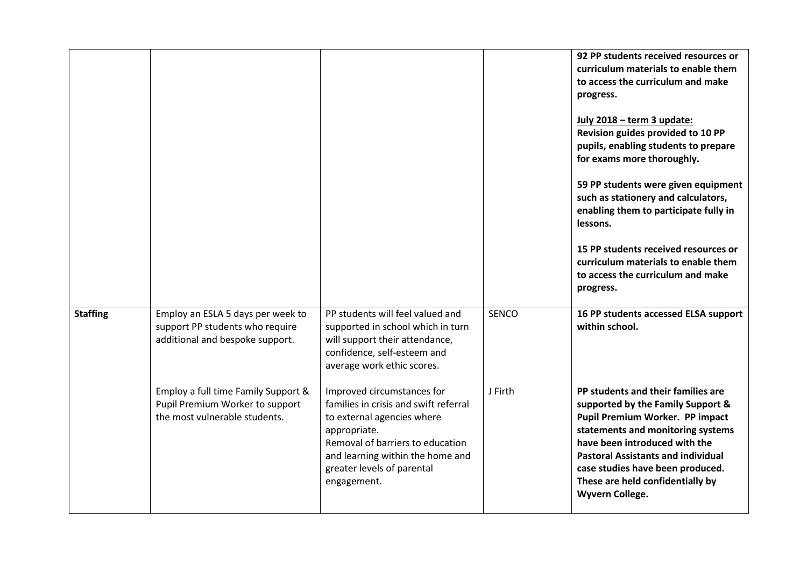|                 |                                                                                                         |                                                                                                                                                                                                                                        |              | 92 PP students received resources or<br>curriculum materials to enable them<br>to access the curriculum and make<br>progress.<br>July 2018 - term 3 update:<br>Revision guides provided to 10 PP<br>pupils, enabling students to prepare<br>for exams more thoroughly.<br>59 PP students were given equipment<br>such as stationery and calculators,<br>enabling them to participate fully in<br>lessons.<br>15 PP students received resources or<br>curriculum materials to enable them<br>to access the curriculum and make<br>progress. |
|-----------------|---------------------------------------------------------------------------------------------------------|----------------------------------------------------------------------------------------------------------------------------------------------------------------------------------------------------------------------------------------|--------------|--------------------------------------------------------------------------------------------------------------------------------------------------------------------------------------------------------------------------------------------------------------------------------------------------------------------------------------------------------------------------------------------------------------------------------------------------------------------------------------------------------------------------------------------|
| <b>Staffing</b> | Employ an ESLA 5 days per week to<br>support PP students who require<br>additional and bespoke support. | PP students will feel valued and<br>supported in school which in turn<br>will support their attendance,<br>confidence, self-esteem and<br>average work ethic scores.                                                                   | <b>SENCO</b> | 16 PP students accessed ELSA support<br>within school.                                                                                                                                                                                                                                                                                                                                                                                                                                                                                     |
|                 | Employ a full time Family Support &<br>Pupil Premium Worker to support<br>the most vulnerable students. | Improved circumstances for<br>families in crisis and swift referral<br>to external agencies where<br>appropriate.<br>Removal of barriers to education<br>and learning within the home and<br>greater levels of parental<br>engagement. | J Firth      | PP students and their families are<br>supported by the Family Support &<br>Pupil Premium Worker. PP impact<br>statements and monitoring systems<br>have been introduced with the<br><b>Pastoral Assistants and individual</b><br>case studies have been produced.<br>These are held confidentially by<br>Wyvern College.                                                                                                                                                                                                                   |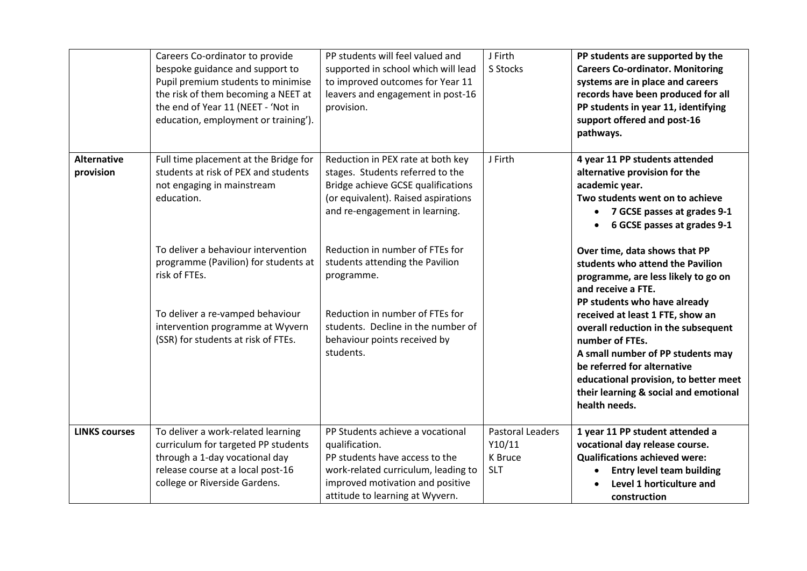|                                 | Careers Co-ordinator to provide<br>bespoke guidance and support to<br>Pupil premium students to minimise<br>the risk of them becoming a NEET at<br>the end of Year 11 (NEET - 'Not in<br>education, employment or training'). | PP students will feel valued and<br>supported in school which will lead<br>to improved outcomes for Year 11<br>leavers and engagement in post-16<br>provision.                                     | J Firth<br>S Stocks                                        | PP students are supported by the<br><b>Careers Co-ordinator. Monitoring</b><br>systems are in place and careers<br>records have been produced for all<br>PP students in year 11, identifying<br>support offered and post-16<br>pathways.                          |
|---------------------------------|-------------------------------------------------------------------------------------------------------------------------------------------------------------------------------------------------------------------------------|----------------------------------------------------------------------------------------------------------------------------------------------------------------------------------------------------|------------------------------------------------------------|-------------------------------------------------------------------------------------------------------------------------------------------------------------------------------------------------------------------------------------------------------------------|
| <b>Alternative</b><br>provision | Full time placement at the Bridge for<br>students at risk of PEX and students<br>not engaging in mainstream<br>education.                                                                                                     | Reduction in PEX rate at both key<br>stages. Students referred to the<br>Bridge achieve GCSE qualifications<br>(or equivalent). Raised aspirations<br>and re-engagement in learning.               | J Firth                                                    | 4 year 11 PP students attended<br>alternative provision for the<br>academic year.<br>Two students went on to achieve<br>• 7 GCSE passes at grades 9-1<br>6 GCSE passes at grades 9-1                                                                              |
|                                 | To deliver a behaviour intervention<br>programme (Pavilion) for students at<br>risk of FTEs.                                                                                                                                  | Reduction in number of FTEs for<br>students attending the Pavilion<br>programme.                                                                                                                   |                                                            | Over time, data shows that PP<br>students who attend the Pavilion<br>programme, are less likely to go on<br>and receive a FTE.<br>PP students who have already                                                                                                    |
|                                 | To deliver a re-vamped behaviour<br>intervention programme at Wyvern<br>(SSR) for students at risk of FTEs.                                                                                                                   | Reduction in number of FTEs for<br>students. Decline in the number of<br>behaviour points received by<br>students.                                                                                 |                                                            | received at least 1 FTE, show an<br>overall reduction in the subsequent<br>number of FTEs.<br>A small number of PP students may<br>be referred for alternative<br>educational provision, to better meet<br>their learning & social and emotional<br>health needs. |
| <b>LINKS courses</b>            | To deliver a work-related learning<br>curriculum for targeted PP students<br>through a 1-day vocational day<br>release course at a local post-16<br>college or Riverside Gardens.                                             | PP Students achieve a vocational<br>qualification.<br>PP students have access to the<br>work-related curriculum, leading to<br>improved motivation and positive<br>attitude to learning at Wyvern. | <b>Pastoral Leaders</b><br>Y10/11<br>K Bruce<br><b>SLT</b> | 1 year 11 PP student attended a<br>vocational day release course.<br><b>Qualifications achieved were:</b><br><b>Entry level team building</b><br>Level 1 horticulture and<br>construction                                                                         |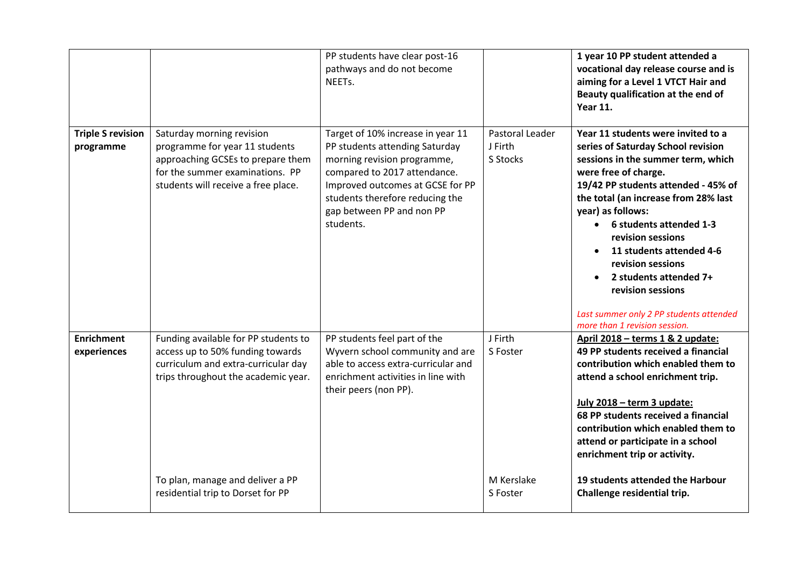|                                       |                                                                                                                                                                            | PP students have clear post-16<br>pathways and do not become<br>NEETs.                                                                                                                                                                              |                                               | 1 year 10 PP student attended a<br>vocational day release course and is<br>aiming for a Level 1 VTCT Hair and<br>Beauty qualification at the end of<br><b>Year 11.</b>                                                                                                                                                                                                                                                                                                              |
|---------------------------------------|----------------------------------------------------------------------------------------------------------------------------------------------------------------------------|-----------------------------------------------------------------------------------------------------------------------------------------------------------------------------------------------------------------------------------------------------|-----------------------------------------------|-------------------------------------------------------------------------------------------------------------------------------------------------------------------------------------------------------------------------------------------------------------------------------------------------------------------------------------------------------------------------------------------------------------------------------------------------------------------------------------|
| <b>Triple S revision</b><br>programme | Saturday morning revision<br>programme for year 11 students<br>approaching GCSEs to prepare them<br>for the summer examinations. PP<br>students will receive a free place. | Target of 10% increase in year 11<br>PP students attending Saturday<br>morning revision programme,<br>compared to 2017 attendance.<br>Improved outcomes at GCSE for PP<br>students therefore reducing the<br>gap between PP and non PP<br>students. | <b>Pastoral Leader</b><br>J Firth<br>S Stocks | Year 11 students were invited to a<br>series of Saturday School revision<br>sessions in the summer term, which<br>were free of charge.<br>19/42 PP students attended - 45% of<br>the total (an increase from 28% last<br>year) as follows:<br>6 students attended 1-3<br>$\bullet$<br>revision sessions<br>11 students attended 4-6<br>revision sessions<br>2 students attended 7+<br>revision sessions<br>Last summer only 2 PP students attended<br>more than 1 revision session. |
| <b>Enrichment</b><br>experiences      | Funding available for PP students to<br>access up to 50% funding towards<br>curriculum and extra-curricular day<br>trips throughout the academic year.                     | PP students feel part of the<br>Wyvern school community and are<br>able to access extra-curricular and<br>enrichment activities in line with<br>their peers (non PP).                                                                               | J Firth<br>S Foster                           | April 2018 - terms 1 & 2 update:<br>49 PP students received a financial<br>contribution which enabled them to<br>attend a school enrichment trip.<br>July 2018 - term 3 update:<br>68 PP students received a financial<br>contribution which enabled them to<br>attend or participate in a school<br>enrichment trip or activity.                                                                                                                                                   |
|                                       | To plan, manage and deliver a PP<br>residential trip to Dorset for PP                                                                                                      |                                                                                                                                                                                                                                                     | M Kerslake<br>S Foster                        | 19 students attended the Harbour<br>Challenge residential trip.                                                                                                                                                                                                                                                                                                                                                                                                                     |